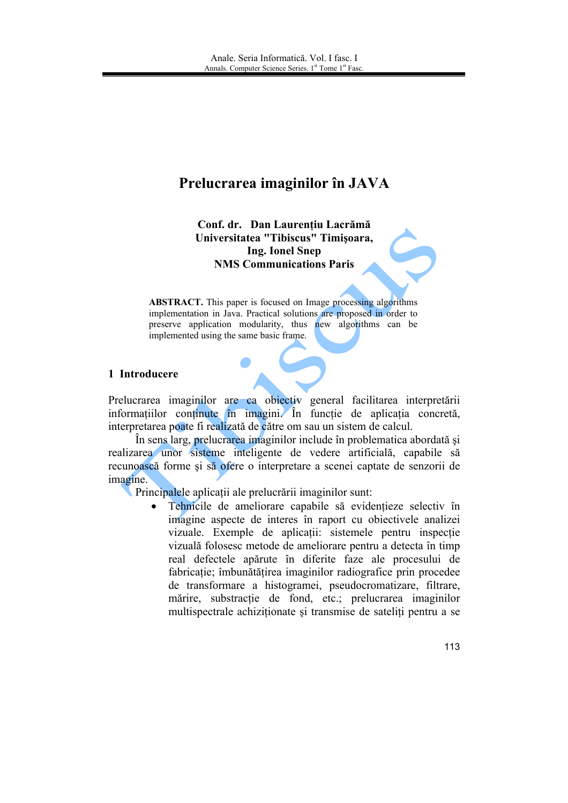# Prelucrarea imaginilor în JAVA

Conf. dr. Dan Laurentiu Lacrămă Universitatea "Tibiscus" Timisoara, **Ing. Ionel Snep NMS Communications Paris** 

**ABSTRACT.** This paper is focused on Image processing algorithms implementation in Java. Practical solutions are proposed in order to preserve application modularity, thus new algorithms can be implemented using the same basic frame.

## 1 Introducere

Prelucrarea imaginilor are ca obiectiv general facilitarea interpretării informațiilor conținute în imagini. În funcție de aplicatia concretă. interpretarea poate fi realizată de către om sau un sistem de calcul.

În sens larg, prelucrarea imaginilor include în problematica abordată și realizarea unor sisteme inteligente de vedere artificială, capabile să recunoască forme și să ofere o interpretare a scenei captate de senzorii de imagine.

Principalele aplicații ale prelucrării imaginilor sunt:

Tehnicile de ameliorare capabile să evidentieze selectiv în  $\bullet$ imagine aspecte de interes în raport cu obiectivele analizei vizuale. Exemple de aplicatii: sistemele pentru inspectie vizuală folosesc metode de ameliorare pentru a detecta în timp real defectele apărute în diferite faze ale procesului de fabricatie: îmbunătătirea imaginilor radiografice prin procedee de transformare a histogramei, pseudocromatizare, filtrare, mărire, substracție de fond, etc.; prelucrarea imaginilor multispectrale achizitionate și transmise de sateliti pentru a se

113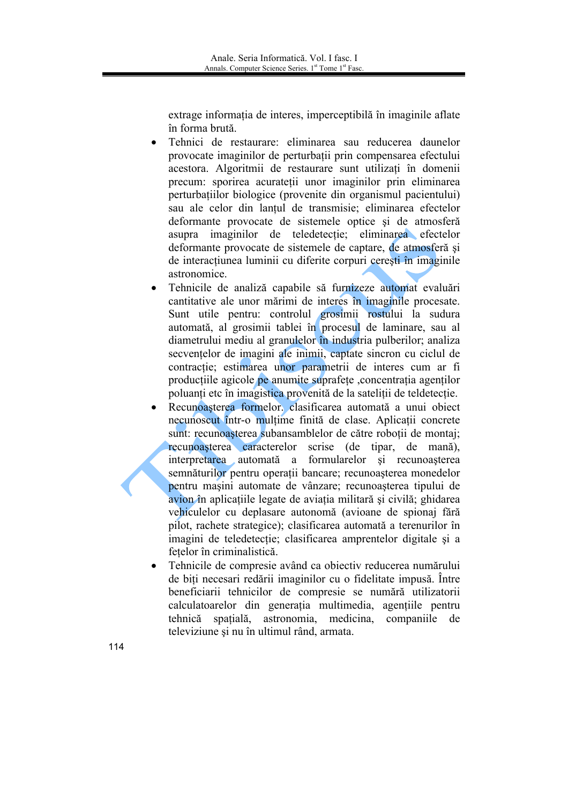extrage informatia de interes, imperceptibilă în imaginile aflate în forma brută.

- Tehnici de restaurare: eliminarea sau reducerea daunelor provocate imaginilor de perturbatii prin compensarea efectului acestora. Algoritmii de restaurare sunt utilizati în domenii precum: sporirea acurateții unor imaginilor prin eliminarea perturbațiilor biologice (provenite din organismul pacientului) sau ale celor din lantul de transmisie; eliminarea efectelor deformante provocate de sistemele optice si de atmosferă asupra imaginilor de teledetectie; eliminarea efectelor deformante provocate de sistemele de captare, de atmosferă si de interacțiunea luminii cu diferite corpuri cerești în imaginile astronomice
- Tehnicile de analiză capabile să furnizeze automat evaluări cantitative ale unor mărimi de interes în imaginile procesate. Sunt utile pentru: controlul grosimii rostului la sudura automată, al grosimii tablei în procesul de laminare, sau al diametrului mediu al granulelor în industria pulberilor; analiza secventelor de imagini ale inimii, captate sincron cu ciclul de contractie; estimarea unor parametrii de interes cum ar fi producțiile agicole pe anumite suprafețe , concentrația agenților poluanti etc în imagistica provenită de la satelitii de teldetectie.
- Recunoasterea formelor, clasificarea automată a unui obiect necunoscut într-o multime finită de clase. Aplicatii concrete sunt: recunoasterea subansamblelor de către robotii de montai: recunoasterea caracterelor scrise (de tipar, de manã). interpretarea automată a formularelor și recunoașterea semnăturilor pentru operații bancare; recunoașterea monedelor pentru masini automate de vânzare; recunoasterea tipului de avion în aplicațiile legate de aviația militară și civilă; ghidarea vehiculelor cu deplasare autonomă (avioane de spionaj fără pilot, rachete strategice); clasificarea automată a terenurilor în imagini de teledetectie; clasificarea amprentelor digitale și a fetelor în criminalistică
- Tehnicile de compresie având ca obiectiv reducerea numărului de biti necesari redării imaginilor cu o fidelitate impusă. Între beneficiarii tehnicilor de compresie se numără utilizatorii calculatoarelor din generația multimedia, agentiile pentru tehnică spatială, astronomia, medicina, companiile de televiziune și nu în ultimul rând, armata.
- 114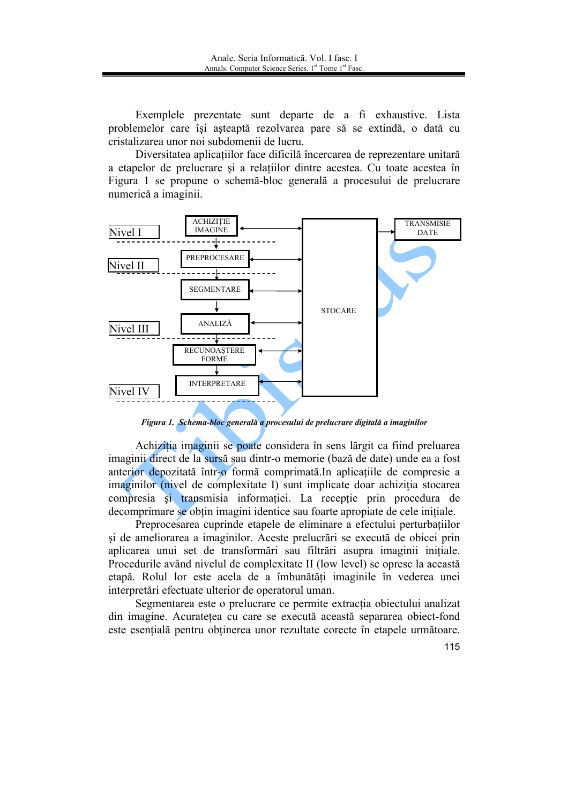Exemplele prezentate sunt departe de a fi exhaustive. Lista problemelor care își așteaptă rezolvarea pare să se extindă, o dată cu cristalizarea unor noi subdomenii de lucru.

Diversitatea aplicatiilor face dificilă încercarea de reprezentare unitară a etapelor de prelucrare si a relatiilor dintre acestea. Cu toate acestea în Figura 1 se propune o schemă-bloc generală a procesului de prelucrare numerică a imaginii.



Figura 1. Schema-bloc generală a procesului de prelucrare digitală a imaginilor

Achizitia imaginii se poate considera în sens lărgit ca fiind preluarea imaginii direct de la sursă sau dintr-o memorie (bază de date) unde ea a fost anterior depozitată într-o formă comprimată.In aplicațiile de compresie a imaginilor (nivel de complexitate I) sunt implicate doar achizitia stocarea compresia si transmisia informatiei. La receptie prin procedura de decomprimare se obțin imagini identice sau foarte apropiate de cele initiale.

Preprocesarea cuprinde etapele de eliminare a efectului perturbatiilor si de ameliorarea a imaginilor. Aceste prelucrări se execută de obicei prin aplicarea unui set de transformări sau filtrări asupra imaginii initiale. Procedurile având nivelul de complexitate II (low level) se opresc la această etapă. Rolul lor este acela de a îmbunătăți imaginile în vederea unei interpretări efectuate ulterior de operatorul uman.

Segmentarea este o prelucrare ce permite extractia obiectului analizat din imagine. Acuratetea cu care se execută această separarea obiect-fond este esențială pentru obținerea unor rezultate corecte în etapele următoare.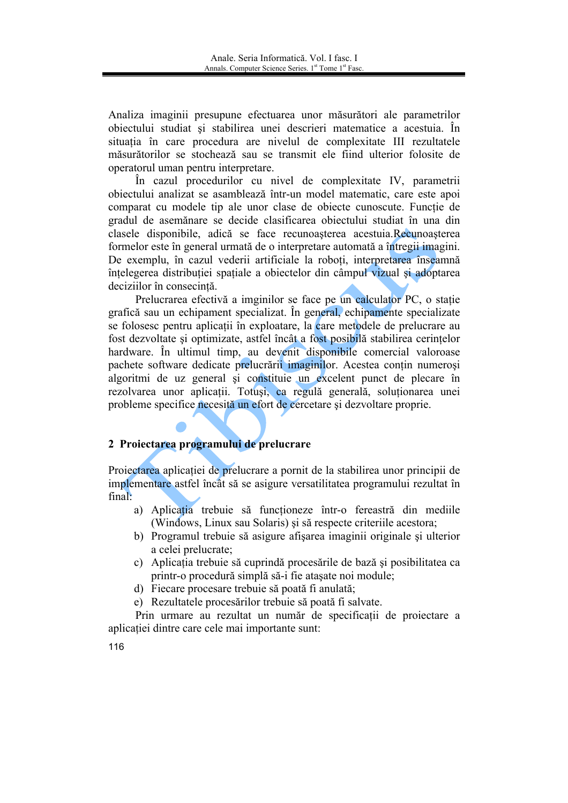Analiza imaginii presupune efectuarea unor măsurători ale parametrilor obiectului studiat și stabilirea unei descrieri matematice a acestuia. În situatia în care procedura are nivelul de complexitate III rezultatele măsurătorilor se stochează sau se transmit ele fiind ulterior folosite de operatorul uman pentru interpretare.

În cazul procedurilor cu nivel de complexitate IV, parametrii obiectului analizat se asamblează într-un model matematic, care este apoi comparat cu modele tip ale unor clase de objecte cunoscute. Functie de gradul de asemănare se decide clasificarea obiectului studiat în una din clasele disponibile, adică se face recunoașterea acestuia.Recunoașterea formelor este în general urmată de o interpretare automată a întregii imagini. De exemplu, în cazul vederii artificiale la roboti, interpretarea înseamnă înțelegerea distribuției spațiale a obiectelor din câmpul vizual și adoptarea deciziilor în consecintă.

Prelucrarea efectivă a imginilor se face pe un calculator PC, o statie grafică sau un echipament specializat. În general, echipamente specializate se folosesc pentru aplicații în exploatare, la care metodele de prelucrare au fost dezvoltate și optimizate, astfel încât a fost posibilă stabilirea cerințelor hardware. În ultimul timp, au devenit disponibile comercial valoroase pachete software dedicate prelucrării imaginilor. Acestea conțin numerosi algoritmi de uz general și constituie un excelent punct de plecare în rezolvarea unor aplicații. Totuși, ca regulă generală, soluționarea unei probleme specifice necesită un efort de cercetare și dezvoltare proprie.

## 2 Proiectarea programului de prelucrare

Projectarea aplicatiei de prelucrare a pornit de la stabilirea unor principii de implementare astfel încât să se asigure versatilitatea programului rezultat în final:

- a) Aplicatia trebuie să funcționeze într-o fereastră din mediile (Windows, Linux sau Solaris) și să respecte criteriile acestora;
- b) Programul trebuie să asigure afișarea imaginii originale și ulterior a celei prelucrate:
- c) Aplicația trebuie să cuprindă procesările de bază și posibilitatea ca printr-o procedură simplă să-i fie atasate noi module;
- d) Fiecare procesare trebuie să poată fi anulată;

e) Rezultatele procesărilor trebuie să poată fi salvate.

Prin urmare au rezultat un număr de specificatii de projectare a aplicatiei dintre care cele mai importante sunt:

116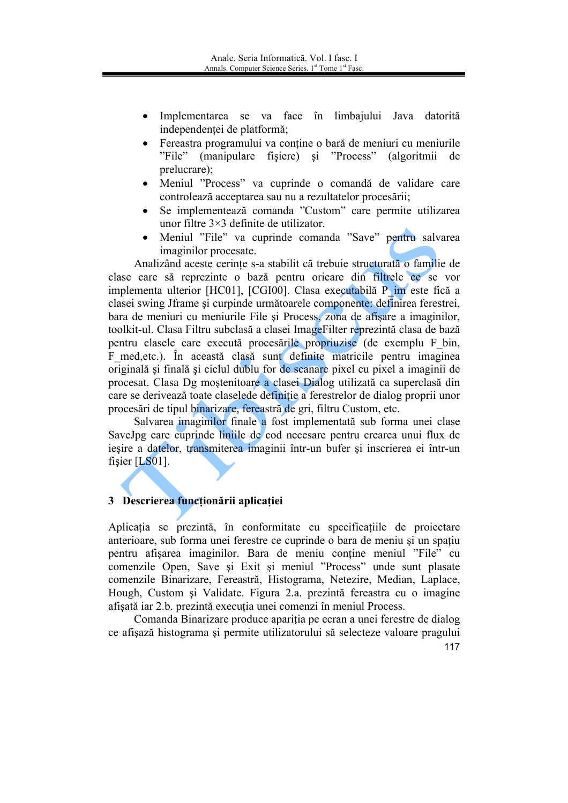- Implementarea se va face în limbajului Java datorită independenței de platformă;
- Fereastra programului va contine o bară de meniuri cu meniurile "File" (manipulare fisiere) si "Process" (algoritmii de prelucrare);
- Meniul "Process" va cuprinde o comandă de validare care controlează acceptarea sau nu a rezultatelor procesării;
- Se implementează comanda "Custom" care permite utilizarea unor filtre  $3\times 3$  definite de utilizator.
- Meniul "File" va cuprinde comanda "Save" pentru salvarea imaginilor procesate.

Analizând aceste cerinte s-a stabilit că trebuie structurată o familie de clase care să reprezinte o bază pentru oricare din filtrele ce se vor implementa ulterior [HC01], [CGI00]. Clasa executabilă P im este fică a clasei swing Jframe si curpinde următoarele componente: definirea ferestrei, bara de meniuri cu meniurile File și Process, zona de afișare a imaginilor, toolkit-ul. Clasa Filtru subclasă a clasei ImageFilter reprezintă clasa de bază pentru clasele care execută procesările propriuzise (de exemplu F bin, F med, etc.). În această clasă sunt definite matricile pentru imaginea originală și finală și ciclul dublu for de scanare pixel cu pixel a imaginii de procesat. Clasa Dg mostenitoare a clasei Dialog utilizată ca superclasă din care se derivează toate claselede definiție a ferestrelor de dialog proprii unor procesări de tipul binarizare, fereastră de gri, filtru Custom, etc.

Salvarea imaginilor finale a fost implementată sub forma unei clase SaveJpg care cuprinde limile de cod necesare pentru crearea unui flux de ieșire a datelor, transmiterea imaginii într-un bufer și inscrierea ei într-un fişier  $[LS01]$ .

## 3 Descrierea funcționării aplicației

Aplicatia se prezintă, în conformitate cu specificatiile de projectare anterioare, sub forma unei ferestre ce cuprinde o bara de meniu si un spatiu pentru afișarea imaginilor. Bara de meniu conține meniul "File" cu comenzile Open, Save și Exit și meniul "Process" unde sunt plasate comenzile Binarizare, Fereastră, Histograma, Netezire, Median, Laplace, Hough, Custom și Validate. Figura 2.a. prezintă fereastra cu o imagine afisată iar 2.b. prezintă executia unei comenzi în meniul Process.

Comanda Binarizare produce apariția pe ecran a unei ferestre de dialog ce afisază histograma și permite utilizatorului să selecteze valoare pragului

<sup>117</sup>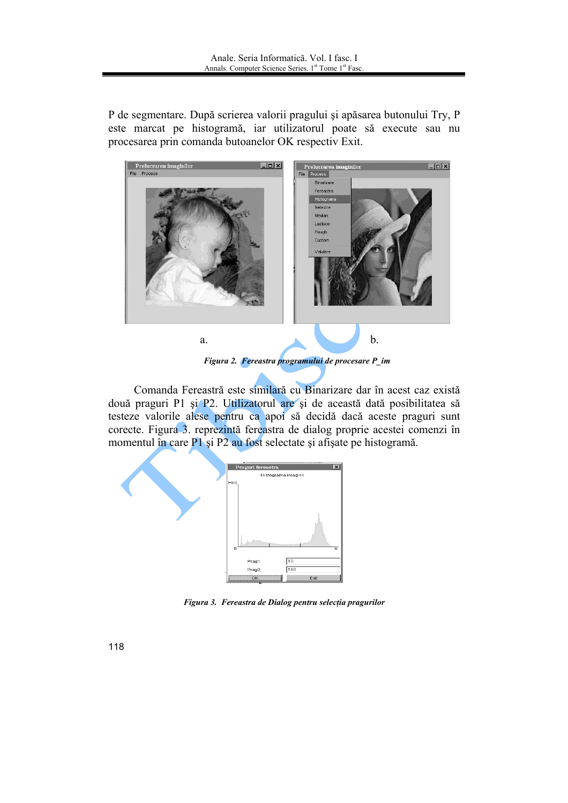P de segmentare. După scrierea valorii pragului și apăsarea butonului Try, P este marcat pe histogramă, iar utilizatorul poate să execute sau nu procesarea prin comanda butoanelor OK respectiv Exit.



Figura 2. Fereastra programului de procesare P\_im

Comanda Fereastră este similară cu Binarizare dar în acest caz există două praguri P1 și P2. Utilizatorul are și de această dată posibilitatea să testeze valorile alese pentru ca apoi să decidă dacă aceste praguri sunt corecte. Figura 3. reprezintă fereastra de dialog proprie acestei comenzi în momentul în care P1 și P2 au fost selectate și afișate pe histogramă.



Figura 3. Fereastra de Dialog pentru selecția pragurilor

118